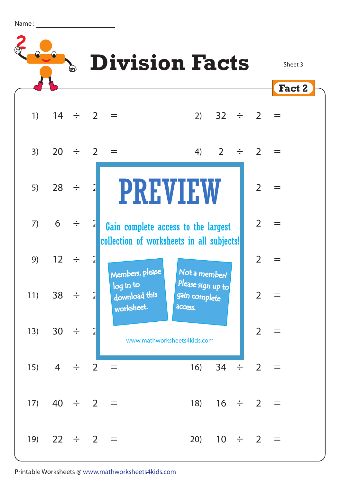